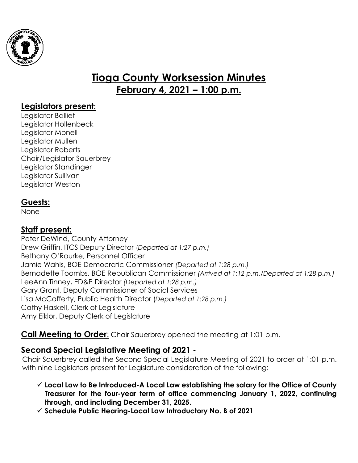

# **Tioga County Worksession Minutes February 4, 2021 – 1:00 p.m.**

## **Legislators present:**

Legislator Balliet Legislator Hollenbeck Legislator Monell Legislator Mullen Legislator Roberts Chair/Legislator Sauerbrey Legislator Standinger Legislator Sullivan Legislator Weston

# **Guests:**

None

# **Staff present:**

Peter DeWind, County Attorney Drew Griffin, ITCS Deputy Director (*Departed at 1:27 p.m.)* Bethany O'Rourke, Personnel Officer Jamie Wahls, BOE Democratic Commissioner *(Departed at 1:28 p.m.)* Bernadette Toombs, BOE Republican Commissioner *(Arrived at 1:12 p.m./Departed at 1:28 p.m.)* LeeAnn Tinney, ED&P Director *(Departed at 1:28 p.m.)* Gary Grant, Deputy Commissioner of Social Services Lisa McCafferty, Public Health Director (*Departed at 1:28 p.m.)* Cathy Haskell, Clerk of Legislature Amy Eiklor, Deputy Clerk of Legislature

**Call Meeting to Order:** Chair Sauerbrey opened the meeting at 1:01 p.m.

# **Second Special Legislative Meeting of 2021 -**

Chair Sauerbrey called the Second Special Legislature Meeting of 2021 to order at 1:01 p.m. with nine Legislators present for Legislature consideration of the following:

- **Local Law to Be Introduced-A Local Law establishing the salary for the Office of County Treasurer for the four-year term of office commencing January 1, 2022, continuing through, and including December 31, 2025.**
- **Schedule Public Hearing-Local Law Introductory No. B of 2021**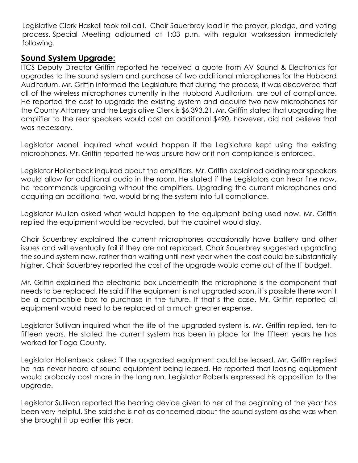Legislative Clerk Haskell took roll call. Chair Sauerbrey lead in the prayer, pledge, and voting process. Special Meeting adjourned at 1:03 p.m. with regular worksession immediately following.

#### **Sound System Upgrade:**

ITCS Deputy Director Griffin reported he received a quote from AV Sound & Electronics for upgrades to the sound system and purchase of two additional microphones for the Hubbard Auditorium. Mr. Griffin informed the Legislature that during the process, it was discovered that all of the wireless microphones currently in the Hubbard Auditorium, are out of compliance. He reported the cost to upgrade the existing system and acquire two new microphones for the County Attorney and the Legislative Clerk is \$6,393.21. Mr. Griffin stated that upgrading the amplifier to the rear speakers would cost an additional \$490, however, did not believe that was necessary.

Legislator Monell inquired what would happen if the Legislature kept using the existing microphones. Mr. Griffin reported he was unsure how or if non-compliance is enforced.

Legislator Hollenbeck inquired about the amplifiers. Mr. Griffin explained adding rear speakers would allow for additional audio in the room. He stated if the Legislators can hear fine now, he recommends upgrading without the amplifiers. Upgrading the current microphones and acquiring an additional two, would bring the system into full compliance.

Legislator Mullen asked what would happen to the equipment being used now. Mr. Griffin replied the equipment would be recycled, but the cabinet would stay.

Chair Sauerbrey explained the current microphones occasionally have battery and other issues and will eventually fail if they are not replaced. Chair Sauerbrey suggested upgrading the sound system now, rather than waiting until next year when the cost could be substantially higher. Chair Sauerbrey reported the cost of the upgrade would come out of the IT budget.

Mr. Griffin explained the electronic box underneath the microphone is the component that needs to be replaced. He said if the equipment is not upgraded soon, it's possible there won't be a compatible box to purchase in the future. If that's the case, Mr. Griffin reported all equipment would need to be replaced at a much greater expense.

Legislator Sullivan inquired what the life of the upgraded system is. Mr. Griffin replied, ten to fifteen years. He stated the current system has been in place for the fifteen years he has worked for Tioga County.

Legislator Hollenbeck asked if the upgraded equipment could be leased. Mr. Griffin replied he has never heard of sound equipment being leased. He reported that leasing equipment would probably cost more in the long run. Legislator Roberts expressed his opposition to the upgrade.

Legislator Sullivan reported the hearing device given to her at the beginning of the year has been very helpful. She said she is not as concerned about the sound system as she was when she brought it up earlier this year.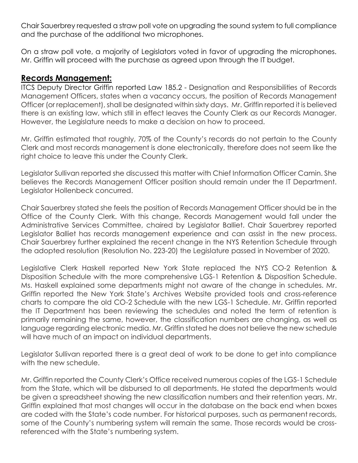Chair Sauerbrey requested a straw poll vote on upgrading the sound system to full compliance and the purchase of the additional two microphones.

On a straw poll vote, a majority of Legislators voted in favor of upgrading the microphones. Mr. Griffin will proceed with the purchase as agreed upon through the IT budget.

#### **Records Management:**

ITCS Deputy Director Griffin reported Law 185.2 - Designation and Responsibilities of Records Management Officers, states when a vacancy occurs, the position of Records Management Officer (or replacement), shall be designated within sixty days. Mr. Griffin reported it is believed there is an existing law, which still in effect leaves the County Clerk as our Records Manager. However, the Legislature needs to make a decision on how to proceed.

Mr. Griffin estimated that roughly, 70% of the County's records do not pertain to the County Clerk and most records management is done electronically, therefore does not seem like the right choice to leave this under the County Clerk.

Legislator Sullivan reported she discussed this matter with Chief Information Officer Camin. She believes the Records Management Officer position should remain under the IT Department. Legislator Hollenbeck concurred.

Chair Sauerbrey stated she feels the position of Records Management Officer should be in the Office of the County Clerk. With this change, Records Management would fall under the Administrative Services Committee, chaired by Legislator Balliet. Chair Sauerbrey reported Legislator Balliet has records management experience and can assist in the new process. Chair Sauerbrey further explained the recent change in the NYS Retention Schedule through the adopted resolution (Resolution No. 223-20) the Legislature passed in November of 2020.

Legislative Clerk Haskell reported New York State replaced the NYS CO-2 Retention & Disposition Schedule with the more comprehensive LGS-1 Retention & Disposition Schedule. Ms. Haskell explained some departments might not aware of the change in schedules. Mr. Griffin reported the New York State's Archives Website provided tools and cross-reference charts to compare the old CO-2 Schedule with the new LGS-1 Schedule. Mr. Griffin reported the IT Department has been reviewing the schedules and noted the term of retention is primarily remaining the same, however, the classification numbers are changing, as well as language regarding electronic media. Mr. Griffin stated he does not believe the new schedule will have much of an impact on individual departments.

Legislator Sullivan reported there is a great deal of work to be done to get into compliance with the new schedule.

Mr. Griffin reported the County Clerk's Office received numerous copies of the LGS-1 Schedule from the State, which will be disbursed to all departments. He stated the departments would be given a spreadsheet showing the new classification numbers and their retention years. Mr. Griffin explained that most changes will occur in the database on the back end when boxes are coded with the State's code number. For historical purposes, such as permanent records, some of the County's numbering system will remain the same. Those records would be crossreferenced with the State's numbering system.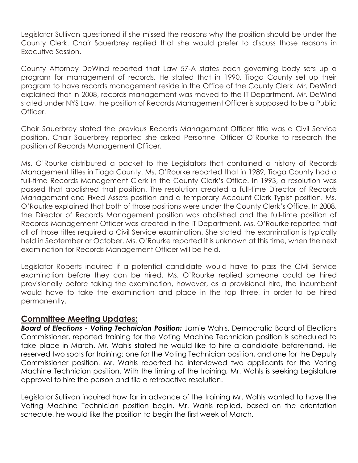Legislator Sullivan questioned if she missed the reasons why the position should be under the County Clerk. Chair Sauerbrey replied that she would prefer to discuss those reasons in Executive Session.

County Attorney DeWind reported that Law 57-A states each governing body sets up a program for management of records. He stated that in 1990, Tioga County set up their program to have records management reside in the Office of the County Clerk. Mr. DeWind explained that in 2008, records management was moved to the IT Department. Mr. DeWind stated under NYS Law, the position of Records Management Officer is supposed to be a Public Officer.

Chair Sauerbrey stated the previous Records Management Officer title was a Civil Service position. Chair Sauerbrey reported she asked Personnel Officer O'Rourke to research the position of Records Management Officer.

Ms. O'Rourke distributed a packet to the Legislators that contained a history of Records Management titles in Tioga County. Ms. O'Rourke reported that in 1989, Tioga County had a full-time Records Management Clerk in the County Clerk's Office. In 1993, a resolution was passed that abolished that position. The resolution created a full-time Director of Records Management and Fixed Assets position and a temporary Account Clerk Typist position. Ms. O'Rourke explained that both of those positions were under the County Clerk's Office. In 2008, the Director of Records Management position was abolished and the full-time position of Records Management Officer was created in the IT Department. Ms. O'Rourke reported that all of those titles required a Civil Service examination. She stated the examination is typically held in September or October. Ms. O'Rourke reported it is unknown at this time, when the next examination for Records Management Officer will be held.

Legislator Roberts inquired if a potential candidate would have to pass the Civil Service examination before they can be hired. Ms. O'Rourke replied someone could be hired provisionally before taking the examination, however, as a provisional hire, the incumbent would have to take the examination and place in the top three, in order to be hired permanently.

#### **Committee Meeting Updates:**

*Board of Elections - Voting Technician Position:* Jamie Wahls, Democratic Board of Elections Commissioner, reported training for the Voting Machine Technician position is scheduled to take place in March. Mr. Wahls stated he would like to hire a candidate beforehand. He reserved two spots for training; one for the Voting Technician position, and one for the Deputy Commissioner position. Mr. Wahls reported he interviewed two applicants for the Voting Machine Technician position. With the timing of the training, Mr. Wahls is seeking Legislature approval to hire the person and file a retroactive resolution.

Legislator Sullivan inquired how far in advance of the training Mr. Wahls wanted to have the Voting Machine Technician position begin. Mr. Wahls replied, based on the orientation schedule, he would like the position to begin the first week of March.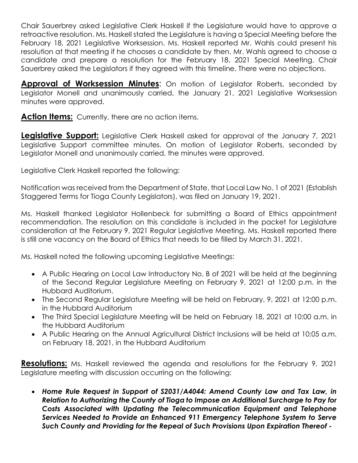Chair Sauerbrey asked Legislative Clerk Haskell if the Legislature would have to approve a retroactive resolution. Ms. Haskell stated the Legislature is having a Special Meeting before the February 18, 2021 Legislative Worksession. Ms. Haskell reported Mr. Wahls could present his resolution at that meeting if he chooses a candidate by then. Mr. Wahls agreed to choose a candidate and prepare a resolution for the February 18, 2021 Special Meeting. Chair Sauerbrey asked the Legislators if they agreed with this timeline. There were no objections.

**Approval of Worksession Minutes:** On motion of Legislator Roberts, seconded by Legislator Monell and unanimously carried, the January 21, 2021 Legislative Worksession minutes were approved.

Action Items: Currently, there are no action items.

**Legislative Support:** Legislative Clerk Haskell asked for approval of the January 7, 2021 Legislative Support committee minutes. On motion of Legislator Roberts, seconded by Legislator Monell and unanimously carried, the minutes were approved.

Legislative Clerk Haskell reported the following:

Notification was received from the Department of State, that Local Law No. 1 of 2021 (Establish Staggered Terms for Tioga County Legislators), was filed on January 19, 2021.

Ms. Haskell thanked Legislator Hollenbeck for submitting a Board of Ethics appointment recommendation. The resolution on this candidate is included in the packet for Legislature consideration at the February 9, 2021 Regular Legislative Meeting. Ms. Haskell reported there is still one vacancy on the Board of Ethics that needs to be filled by March 31, 2021.

Ms. Haskell noted the following upcoming Legislative Meetings:

- A Public Hearing on Local Law Introductory No. B of 2021 will be held at the beginning of the Second Regular Legislature Meeting on February 9, 2021 at 12:00 p.m. in the Hubbard Auditorium.
- The Second Regular Legislature Meeting will be held on February, 9, 2021 at 12:00 p.m. in the Hubbard Auditorium
- The Third Special Legislature Meeting will be held on February 18, 2021 at 10:00 a.m. in the Hubbard Auditorium
- A Public Hearing on the Annual Agricultural District Inclusions will be held at 10:05 a.m. on February 18, 2021, in the Hubbard Auditorium

**Resolutions:** Ms. Haskell reviewed the agenda and resolutions for the February 9, 2021 Legislature meeting with discussion occurring on the following:

 *Home Rule Request in Support of S2031/A4044: Amend County Law and Tax Law, in Relation to Authorizing the County of Tioga to Impose an Additional Surcharge to Pay for Costs Associated with Updating the Telecommunication Equipment and Telephone Services Needed to Provide an Enhanced 911 Emergency Telephone System to Serve Such County and Providing for the Repeal of Such Provisions Upon Expiration Thereof* **-**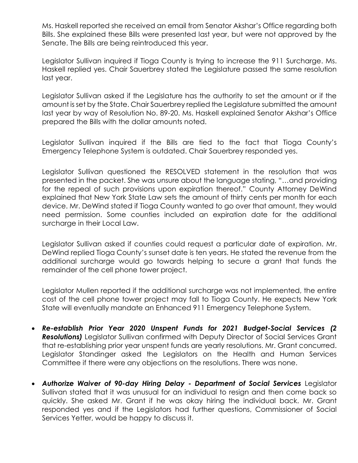Ms. Haskell reported she received an email from Senator Akshar's Office regarding both Bills. She explained these Bills were presented last year, but were not approved by the Senate. The Bills are being reintroduced this year.

Legislator Sullivan inquired if Tioga County is trying to increase the 911 Surcharge. Ms. Haskell replied yes. Chair Sauerbrey stated the Legislature passed the same resolution last year.

Legislator Sullivan asked if the Legislature has the authority to set the amount or if the amount is set by the State. Chair Sauerbrey replied the Legislature submitted the amount last year by way of Resolution No. 89-20. Ms. Haskell explained Senator Akshar's Office prepared the Bills with the dollar amounts noted.

Legislator Sullivan inquired if the Bills are tied to the fact that Tioga County's Emergency Telephone System is outdated. Chair Sauerbrey responded yes.

Legislator Sullivan questioned the RESOLVED statement in the resolution that was presented in the packet. She was unsure about the language stating, "…and providing for the repeal of such provisions upon expiration thereof." County Attorney DeWind explained that New York State Law sets the amount of thirty cents per month for each device. Mr. DeWind stated if Tioga County wanted to go over that amount, they would need permission. Some counties included an expiration date for the additional surcharge in their Local Law.

Legislator Sullivan asked if counties could request a particular date of expiration. Mr. DeWind replied Tioga County's sunset date is ten years. He stated the revenue from the additional surcharge would go towards helping to secure a grant that funds the remainder of the cell phone tower project.

Legislator Mullen reported if the additional surcharge was not implemented, the entire cost of the cell phone tower project may fall to Tioga County. He expects New York State will eventually mandate an Enhanced 911 Emergency Telephone System.

- *Re-establish Prior Year 2020 Unspent Funds for 2021 Budget-Social Services (2 Resolutions)* Legislator Sullivan confirmed with Deputy Director of Social Services Grant that re-establishing prior year unspent funds are yearly resolutions. Mr. Grant concurred. Legislator Standinger asked the Legislators on the Health and Human Services Committee if there were any objections on the resolutions. There was none.
- *Authorize Waiver of 90-day Hiring Delay - Department of Social Services* Legislator Sullivan stated that it was unusual for an individual to resign and then come back so quickly. She asked Mr. Grant if he was okay hiring the individual back. Mr. Grant responded yes and if the Legislators had further questions, Commissioner of Social Services Yetter, would be happy to discuss it.